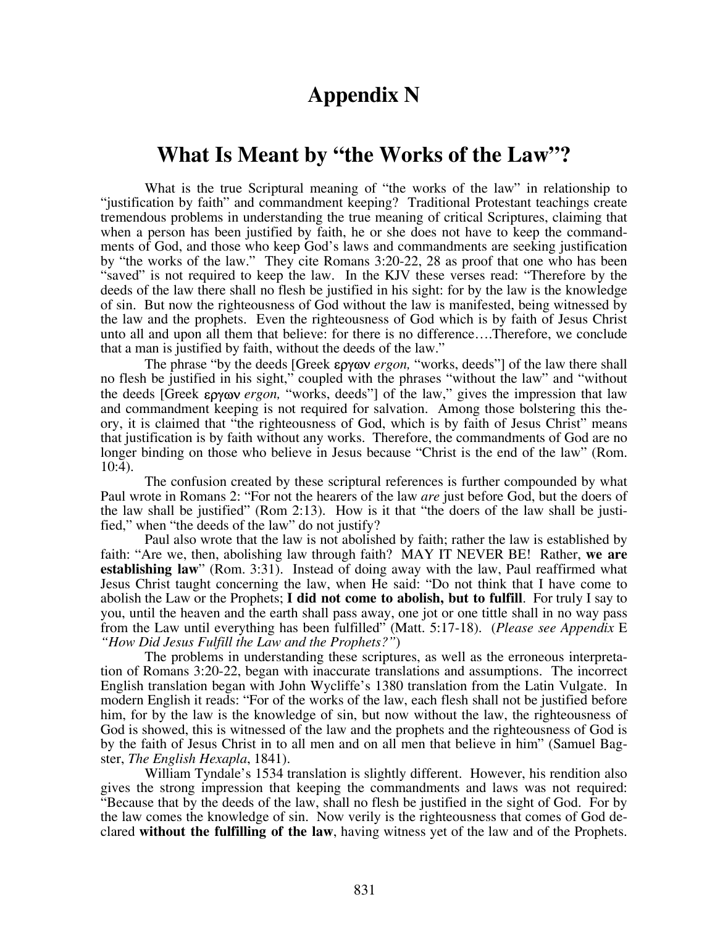# **Appendix N**

# **What Is Meant by "the Works of the Law"?**

 What is the true Scriptural meaning of "the works of the law" in relationship to "justification by faith" and commandment keeping? Traditional Protestant teachings create tremendous problems in understanding the true meaning of critical Scriptures, claiming that when a person has been justified by faith, he or she does not have to keep the commandments of God, and those who keep God's laws and commandments are seeking justification by "the works of the law." They cite Romans 3:20-22, 28 as proof that one who has been "saved" is not required to keep the law. In the KJV these verses read: "Therefore by the deeds of the law there shall no flesh be justified in his sight: for by the law is the knowledge of sin. But now the righteousness of God without the law is manifested, being witnessed by the law and the prophets. Even the righteousness of God which is by faith of Jesus Christ unto all and upon all them that believe: for there is no difference….Therefore, we conclude that a man is justified by faith, without the deeds of the law."

The phrase "by the deeds [Greek εργων *ergon,* "works, deeds"] of the law there shall no flesh be justified in his sight," coupled with the phrases "without the law" and "without the deeds [Greek εργων *ergon,* "works, deeds"] of the law," gives the impression that law and commandment keeping is not required for salvation. Among those bolstering this theory, it is claimed that "the righteousness of God, which is by faith of Jesus Christ" means that justification is by faith without any works. Therefore, the commandments of God are no longer binding on those who believe in Jesus because "Christ is the end of the law" (Rom. 10:4).

The confusion created by these scriptural references is further compounded by what Paul wrote in Romans 2: "For not the hearers of the law *are* just before God, but the doers of the law shall be justified" (Rom 2:13). How is it that "the doers of the law shall be justified," when "the deeds of the law" do not justify?

Paul also wrote that the law is not abolished by faith; rather the law is established by faith: "Are we, then, abolishing law through faith? MAY IT NEVER BE! Rather, **we are establishing law**" (Rom. 3:31). Instead of doing away with the law, Paul reaffirmed what Jesus Christ taught concerning the law, when He said: "Do not think that I have come to abolish the Law or the Prophets; **I did not come to abolish, but to fulfill**. For truly I say to you, until the heaven and the earth shall pass away, one jot or one tittle shall in no way pass from the Law until everything has been fulfilled" (Matt. 5:17-18). (*Please see Appendix* E *"How Did Jesus Fulfill the Law and the Prophets?"*)

 The problems in understanding these scriptures, as well as the erroneous interpretation of Romans 3:20-22, began with inaccurate translations and assumptions. The incorrect English translation began with John Wycliffe's 1380 translation from the Latin Vulgate. In modern English it reads: "For of the works of the law, each flesh shall not be justified before him, for by the law is the knowledge of sin, but now without the law, the righteousness of God is showed, this is witnessed of the law and the prophets and the righteousness of God is by the faith of Jesus Christ in to all men and on all men that believe in him" (Samuel Bagster, *The English Hexapla*, 1841).

 William Tyndale's 1534 translation is slightly different. However, his rendition also gives the strong impression that keeping the commandments and laws was not required: "Because that by the deeds of the law, shall no flesh be justified in the sight of God. For by the law comes the knowledge of sin. Now verily is the righteousness that comes of God declared **without the fulfilling of the law**, having witness yet of the law and of the Prophets.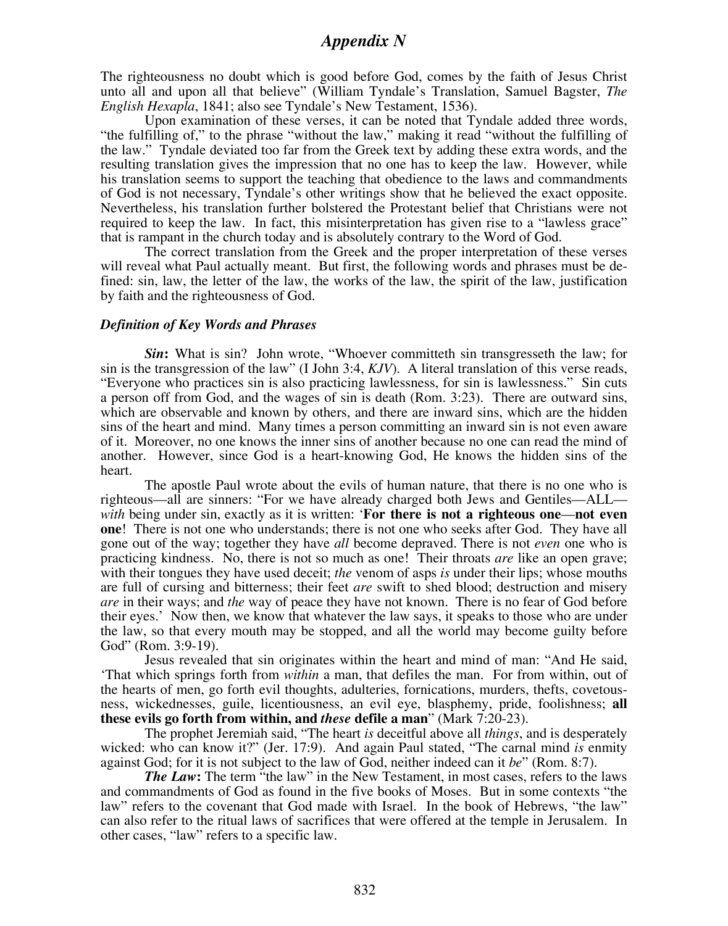The righteousness no doubt which is good before God, comes by the faith of Jesus Christ unto all and upon all that believe" (William Tyndale's Translation, Samuel Bagster, *The English Hexapla*, 1841; also see Tyndale's New Testament, 1536).

 Upon examination of these verses, it can be noted that Tyndale added three words, "the fulfilling of," to the phrase "without the law," making it read "without the fulfilling of the law." Tyndale deviated too far from the Greek text by adding these extra words, and the resulting translation gives the impression that no one has to keep the law. However, while his translation seems to support the teaching that obedience to the laws and commandments of God is not necessary, Tyndale's other writings show that he believed the exact opposite. Nevertheless, his translation further bolstered the Protestant belief that Christians were not required to keep the law. In fact, this misinterpretation has given rise to a "lawless grace" that is rampant in the church today and is absolutely contrary to the Word of God.

 The correct translation from the Greek and the proper interpretation of these verses will reveal what Paul actually meant. But first, the following words and phrases must be defined: sin, law, the letter of the law, the works of the law, the spirit of the law, justification by faith and the righteousness of God.

#### *Definition of Key Words and Phrases*

*Sin***:** What is sin? John wrote, "Whoever committeth sin transgresseth the law; for sin is the transgression of the law" (I John 3:4, *KJV*). A literal translation of this verse reads, "Everyone who practices sin is also practicing lawlessness, for sin is lawlessness." Sin cuts a person off from God, and the wages of sin is death (Rom. 3:23). There are outward sins, which are observable and known by others, and there are inward sins, which are the hidden sins of the heart and mind. Many times a person committing an inward sin is not even aware of it. Moreover, no one knows the inner sins of another because no one can read the mind of another. However, since God is a heart-knowing God, He knows the hidden sins of the heart.

 The apostle Paul wrote about the evils of human nature, that there is no one who is righteous—all are sinners: "For we have already charged both Jews and Gentiles—ALL *with* being under sin, exactly as it is written: '**For there is not a righteous one**—**not even one**! There is not one who understands; there is not one who seeks after God. They have all gone out of the way; together they have *all* become depraved. There is not *even* one who is practicing kindness. No, there is not so much as one! Their throats *are* like an open grave; with their tongues they have used deceit; *the* venom of asps *is* under their lips; whose mouths are full of cursing and bitterness; their feet *are* swift to shed blood; destruction and misery *are* in their ways; and *the* way of peace they have not known. There is no fear of God before their eyes.' Now then, we know that whatever the law says, it speaks to those who are under the law, so that every mouth may be stopped, and all the world may become guilty before God" (Rom. 3:9-19).

 Jesus revealed that sin originates within the heart and mind of man: "And He said, 'That which springs forth from *within* a man, that defiles the man. For from within, out of the hearts of men, go forth evil thoughts, adulteries, fornications, murders, thefts, covetousness, wickednesses, guile, licentiousness, an evil eye, blasphemy, pride, foolishness; **all these evils go forth from within, and** *these* **defile a man**" (Mark 7:20-23).

The prophet Jeremiah said, "The heart *is* deceitful above all *things*, and is desperately wicked: who can know it?" (Jer. 17:9). And again Paul stated, "The carnal mind *is* enmity against God; for it is not subject to the law of God, neither indeed can it *be*" (Rom. 8:7).

*The Law*: The term "the law" in the New Testament, in most cases, refers to the laws and commandments of God as found in the five books of Moses. But in some contexts "the law" refers to the covenant that God made with Israel. In the book of Hebrews, "the law" can also refer to the ritual laws of sacrifices that were offered at the temple in Jerusalem. In other cases, "law" refers to a specific law.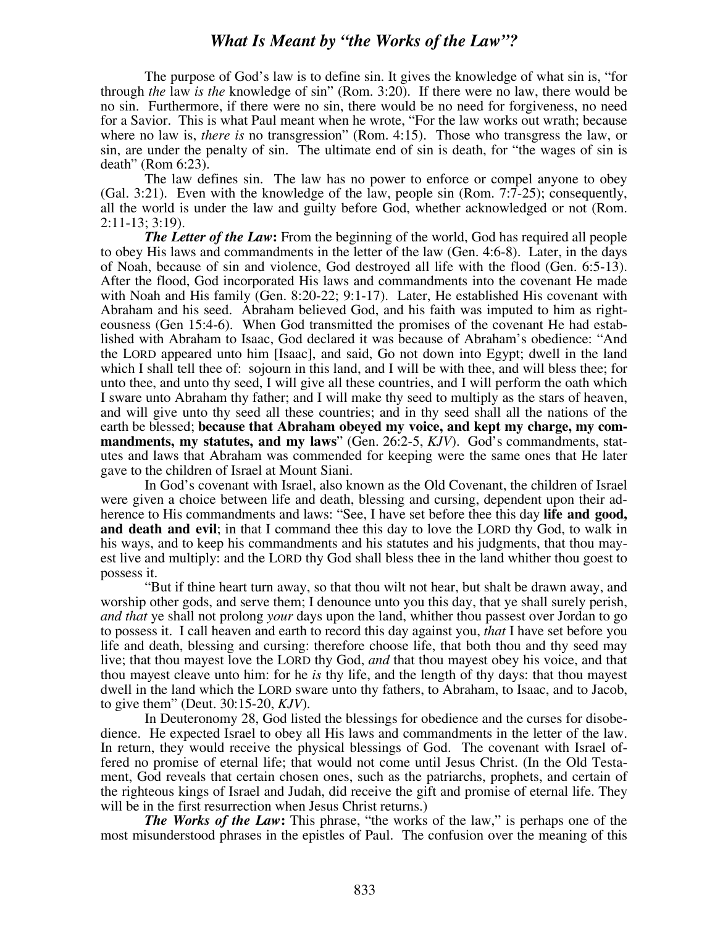### *What Is Meant by "the Works of the Law"?*

The purpose of God's law is to define sin. It gives the knowledge of what sin is, "for through *the* law *is the* knowledge of sin" (Rom. 3:20). If there were no law, there would be no sin. Furthermore, if there were no sin, there would be no need for forgiveness, no need for a Savior. This is what Paul meant when he wrote, "For the law works out wrath; because where no law is, *there is* no transgression" (Rom. 4:15). Those who transgress the law, or sin, are under the penalty of sin. The ultimate end of sin is death, for "the wages of sin is death" (Rom 6:23).

The law defines sin. The law has no power to enforce or compel anyone to obey (Gal. 3:21). Even with the knowledge of the law, people sin (Rom. 7:7-25); consequently, all the world is under the law and guilty before God, whether acknowledged or not (Rom. 2:11-13; 3:19).

*The Letter of the Law*: From the beginning of the world, God has required all people to obey His laws and commandments in the letter of the law (Gen. 4:6-8). Later, in the days of Noah, because of sin and violence, God destroyed all life with the flood (Gen. 6:5-13). After the flood, God incorporated His laws and commandments into the covenant He made with Noah and His family (Gen. 8:20-22; 9:1-17). Later, He established His covenant with Abraham and his seed. Abraham believed God, and his faith was imputed to him as righteousness (Gen 15:4-6). When God transmitted the promises of the covenant He had established with Abraham to Isaac, God declared it was because of Abraham's obedience: "And the LORD appeared unto him [Isaac], and said, Go not down into Egypt; dwell in the land which I shall tell thee of: sojourn in this land, and I will be with thee, and will bless thee; for unto thee, and unto thy seed, I will give all these countries, and I will perform the oath which I sware unto Abraham thy father; and I will make thy seed to multiply as the stars of heaven, and will give unto thy seed all these countries; and in thy seed shall all the nations of the earth be blessed; **because that Abraham obeyed my voice, and kept my charge, my commandments, my statutes, and my laws**" (Gen. 26:2-5, *KJV*). God's commandments, statutes and laws that Abraham was commended for keeping were the same ones that He later gave to the children of Israel at Mount Siani.

In God's covenant with Israel, also known as the Old Covenant, the children of Israel were given a choice between life and death, blessing and cursing, dependent upon their adherence to His commandments and laws: "See, I have set before thee this day **life and good, and death and evil**; in that I command thee this day to love the LORD thy God, to walk in his ways, and to keep his commandments and his statutes and his judgments, that thou mayest live and multiply: and the LORD thy God shall bless thee in the land whither thou goest to possess it.

"But if thine heart turn away, so that thou wilt not hear, but shalt be drawn away, and worship other gods, and serve them; I denounce unto you this day, that ye shall surely perish, *and that* ye shall not prolong *your* days upon the land, whither thou passest over Jordan to go to possess it. I call heaven and earth to record this day against you, *that* I have set before you life and death, blessing and cursing: therefore choose life, that both thou and thy seed may live; that thou mayest love the LORD thy God, *and* that thou mayest obey his voice, and that thou mayest cleave unto him: for he *is* thy life, and the length of thy days: that thou mayest dwell in the land which the LORD sware unto thy fathers, to Abraham, to Isaac, and to Jacob, to give them" (Deut. 30:15-20, *KJV*).

In Deuteronomy 28, God listed the blessings for obedience and the curses for disobedience. He expected Israel to obey all His laws and commandments in the letter of the law. In return, they would receive the physical blessings of God. The covenant with Israel offered no promise of eternal life; that would not come until Jesus Christ. (In the Old Testament, God reveals that certain chosen ones, such as the patriarchs, prophets, and certain of the righteous kings of Israel and Judah, did receive the gift and promise of eternal life. They will be in the first resurrection when Jesus Christ returns.)

*The Works of the Law***:** This phrase, "the works of the law," is perhaps one of the most misunderstood phrases in the epistles of Paul. The confusion over the meaning of this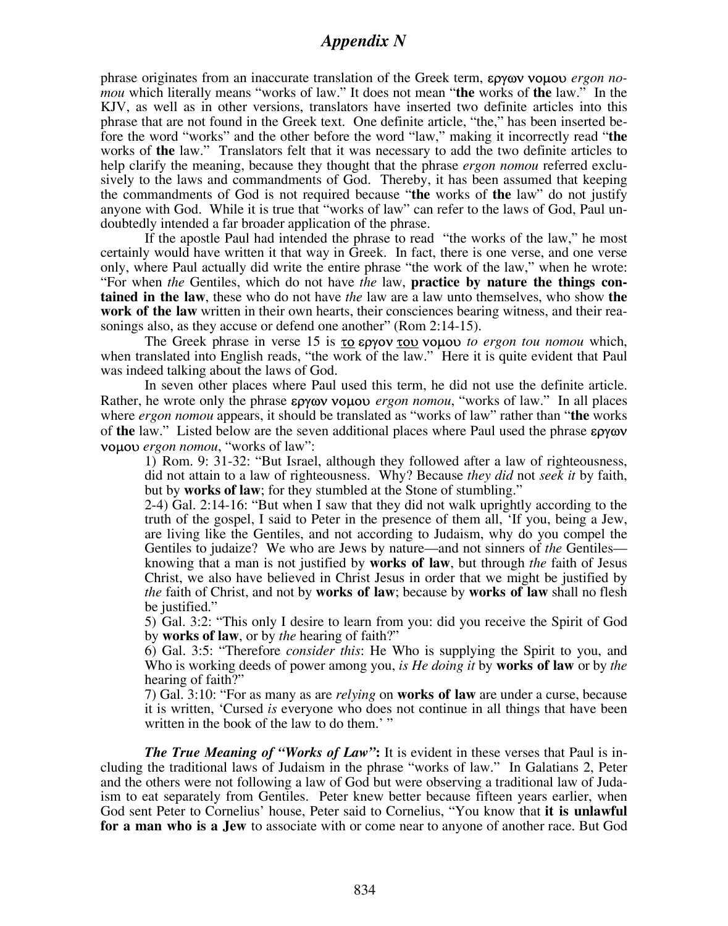# *Appendix N*

phrase originates from an inaccurate translation of the Greek term, εργων νοµου *ergon nomou* which literally means "works of law." It does not mean "**the** works of **the** law." In the KJV, as well as in other versions, translators have inserted two definite articles into this phrase that are not found in the Greek text. One definite article, "the," has been inserted before the word "works" and the other before the word "law," making it incorrectly read "**the** works of **the** law." Translators felt that it was necessary to add the two definite articles to help clarify the meaning, because they thought that the phrase *ergon nomou* referred exclusively to the laws and commandments of God. Thereby, it has been assumed that keeping the commandments of God is not required because "**the** works of **the** law" do not justify anyone with God. While it is true that "works of law" can refer to the laws of God, Paul undoubtedly intended a far broader application of the phrase.

If the apostle Paul had intended the phrase to read "the works of the law," he most certainly would have written it that way in Greek. In fact, there is one verse, and one verse only, where Paul actually did write the entire phrase "the work of the law," when he wrote: "For when *the* Gentiles, which do not have *the* law, **practice by nature the things contained in the law**, these who do not have *the* law are a law unto themselves, who show **the work of the law** written in their own hearts, their consciences bearing witness, and their reasonings also, as they accuse or defend one another" (Rom 2:14-15).

The Greek phrase in verse 15 is το εργον του νοµου *to ergon tou nomou* which, when translated into English reads, "the work of the law." Here it is quite evident that Paul was indeed talking about the laws of God.

In seven other places where Paul used this term, he did not use the definite article. Rather, he wrote only the phrase εργων νοµου *ergon nomou*, "works of law." In all places where *ergon nomou* appears, it should be translated as "works of law" rather than "**the** works of **the** law." Listed below are the seven additional places where Paul used the phrase εργων νοµου *ergon nomou*, "works of law":

1) Rom. 9: 31-32: "But Israel, although they followed after a law of righteousness, did not attain to a law of righteousness. Why? Because *they did* not *seek it* by faith, but by **works of law**; for they stumbled at the Stone of stumbling."

2-4) Gal. 2:14-16: "But when I saw that they did not walk uprightly according to the truth of the gospel, I said to Peter in the presence of them all, 'If you, being a Jew, are living like the Gentiles, and not according to Judaism, why do you compel the Gentiles to judaize? We who are Jews by nature—and not sinners of *the* Gentiles knowing that a man is not justified by **works of law**, but through *the* faith of Jesus Christ, we also have believed in Christ Jesus in order that we might be justified by *the* faith of Christ, and not by **works of law**; because by **works of law** shall no flesh be justified."

5) Gal. 3:2: "This only I desire to learn from you: did you receive the Spirit of God by **works of law**, or by *the* hearing of faith?"

6) Gal. 3:5: "Therefore *consider this*: He Who is supplying the Spirit to you, and Who is working deeds of power among you, *is He doing it* by **works of law** or by *the* hearing of faith?"

7) Gal. 3:10: "For as many as are *relying* on **works of law** are under a curse, because it is written, 'Cursed *is* everyone who does not continue in all things that have been written in the book of the law to do them.' "

*The True Meaning of "Works of Law"***:** It is evident in these verses that Paul is including the traditional laws of Judaism in the phrase "works of law." In Galatians 2, Peter and the others were not following a law of God but were observing a traditional law of Judaism to eat separately from Gentiles. Peter knew better because fifteen years earlier, when God sent Peter to Cornelius' house, Peter said to Cornelius, "You know that **it is unlawful for a man who is a Jew** to associate with or come near to anyone of another race. But God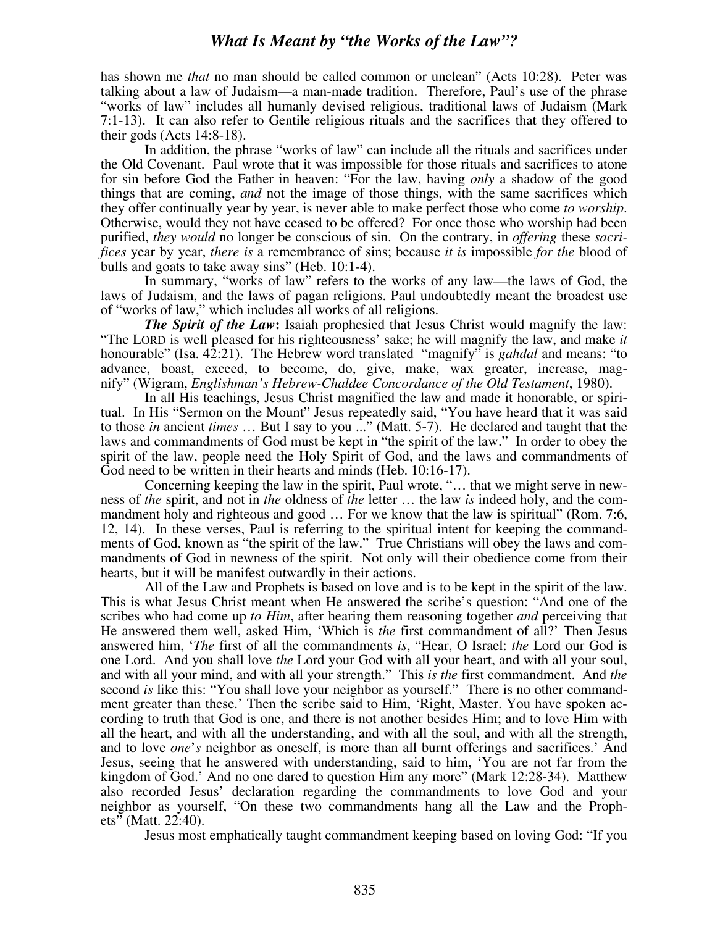# *What Is Meant by "the Works of the Law"?*

has shown me *that* no man should be called common or unclean" (Acts 10:28). Peter was talking about a law of Judaism—a man-made tradition. Therefore, Paul's use of the phrase "works of law" includes all humanly devised religious, traditional laws of Judaism (Mark 7:1-13). It can also refer to Gentile religious rituals and the sacrifices that they offered to their gods (Acts 14:8-18).

In addition, the phrase "works of law" can include all the rituals and sacrifices under the Old Covenant. Paul wrote that it was impossible for those rituals and sacrifices to atone for sin before God the Father in heaven: "For the law, having *only* a shadow of the good things that are coming, *and* not the image of those things, with the same sacrifices which they offer continually year by year, is never able to make perfect those who come *to worship*. Otherwise, would they not have ceased to be offered? For once those who worship had been purified, *they would* no longer be conscious of sin. On the contrary, in *offering* these *sacrifices* year by year, *there is* a remembrance of sins; because *it is* impossible *for the* blood of bulls and goats to take away sins" (Heb. 10:1-4).

In summary, "works of law" refers to the works of any law—the laws of God, the laws of Judaism, and the laws of pagan religions. Paul undoubtedly meant the broadest use of "works of law," which includes all works of all religions.

*The Spirit of the Law***:** Isaiah prophesied that Jesus Christ would magnify the law: "The LORD is well pleased for his righteousness' sake; he will magnify the law, and make *it* honourable" (Isa. 42:21). The Hebrew word translated "magnify" is *gahdal* and means: "to advance, boast, exceed, to become, do, give, make, wax greater, increase, magnify" (Wigram, *Englishman's Hebrew-Chaldee Concordance of the Old Testament*, 1980).

In all His teachings, Jesus Christ magnified the law and made it honorable, or spiritual. In His "Sermon on the Mount" Jesus repeatedly said, "You have heard that it was said to those *in* ancient *times* … But I say to you ..." (Matt. 5-7). He declared and taught that the laws and commandments of God must be kept in "the spirit of the law." In order to obey the spirit of the law, people need the Holy Spirit of God, and the laws and commandments of God need to be written in their hearts and minds (Heb. 10:16-17).

Concerning keeping the law in the spirit, Paul wrote, "… that we might serve in newness of *the* spirit, and not in *the* oldness of *the* letter … the law *is* indeed holy, and the commandment holy and righteous and good ... For we know that the law is spiritual" (Rom. 7:6, 12, 14). In these verses, Paul is referring to the spiritual intent for keeping the commandments of God, known as "the spirit of the law." True Christians will obey the laws and commandments of God in newness of the spirit. Not only will their obedience come from their hearts, but it will be manifest outwardly in their actions.

All of the Law and Prophets is based on love and is to be kept in the spirit of the law. This is what Jesus Christ meant when He answered the scribe's question: "And one of the scribes who had come up *to Him*, after hearing them reasoning together *and* perceiving that He answered them well, asked Him, 'Which is *the* first commandment of all?' Then Jesus answered him, '*The* first of all the commandments *is*, "Hear, O Israel: *the* Lord our God is one Lord. And you shall love *the* Lord your God with all your heart, and with all your soul, and with all your mind, and with all your strength." This *is the* first commandment. And *the* second *is* like this: "You shall love your neighbor as yourself." There is no other commandment greater than these.' Then the scribe said to Him, 'Right, Master. You have spoken according to truth that God is one, and there is not another besides Him; and to love Him with all the heart, and with all the understanding, and with all the soul, and with all the strength, and to love *one*'*s* neighbor as oneself, is more than all burnt offerings and sacrifices.' And Jesus, seeing that he answered with understanding, said to him, 'You are not far from the kingdom of God.' And no one dared to question Him any more" (Mark 12:28-34). Matthew also recorded Jesus' declaration regarding the commandments to love God and your neighbor as yourself, "On these two commandments hang all the Law and the Prophets" (Matt. 22:40).

Jesus most emphatically taught commandment keeping based on loving God: "If you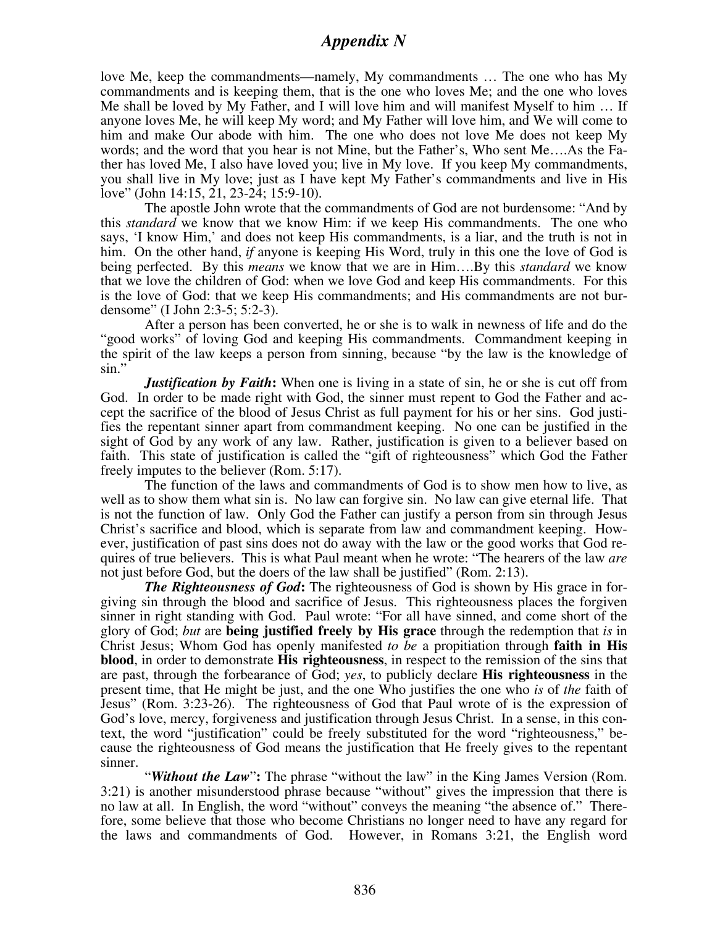# *Appendix N*

love Me, keep the commandments—namely, My commandments … The one who has My commandments and is keeping them, that is the one who loves Me; and the one who loves Me shall be loved by My Father, and I will love him and will manifest Myself to him … If anyone loves Me, he will keep My word; and My Father will love him, and We will come to him and make Our abode with him. The one who does not love Me does not keep My words; and the word that you hear is not Mine, but the Father's, Who sent Me….As the Father has loved Me, I also have loved you; live in My love. If you keep My commandments, you shall live in My love; just as I have kept My Father's commandments and live in His love" (John 14:15, 21, 23-24; 15:9-10).

The apostle John wrote that the commandments of God are not burdensome: "And by this *standard* we know that we know Him: if we keep His commandments. The one who says, 'I know Him,' and does not keep His commandments, is a liar, and the truth is not in him. On the other hand, *if* anyone is keeping His Word, truly in this one the love of God is being perfected. By this *means* we know that we are in Him….By this *standard* we know that we love the children of God: when we love God and keep His commandments. For this is the love of God: that we keep His commandments; and His commandments are not burdensome" (I John 2:3-5; 5:2-3).

After a person has been converted, he or she is to walk in newness of life and do the "good works" of loving God and keeping His commandments. Commandment keeping in the spirit of the law keeps a person from sinning, because "by the law is the knowledge of sin."

*Justification by Faith***:** When one is living in a state of sin, he or she is cut off from God. In order to be made right with God, the sinner must repent to God the Father and accept the sacrifice of the blood of Jesus Christ as full payment for his or her sins. God justifies the repentant sinner apart from commandment keeping. No one can be justified in the sight of God by any work of any law. Rather, justification is given to a believer based on faith. This state of justification is called the "gift of righteousness" which God the Father freely imputes to the believer (Rom. 5:17).

The function of the laws and commandments of God is to show men how to live, as well as to show them what sin is. No law can forgive sin. No law can give eternal life. That is not the function of law. Only God the Father can justify a person from sin through Jesus Christ's sacrifice and blood, which is separate from law and commandment keeping. However, justification of past sins does not do away with the law or the good works that God requires of true believers. This is what Paul meant when he wrote: "The hearers of the law *are* not just before God, but the doers of the law shall be justified" (Rom. 2:13).

*The Righteousness of God***:** The righteousness of God is shown by His grace in forgiving sin through the blood and sacrifice of Jesus. This righteousness places the forgiven sinner in right standing with God. Paul wrote: "For all have sinned, and come short of the glory of God; *but* are **being justified freely by His grace** through the redemption that *is* in Christ Jesus; Whom God has openly manifested *to be* a propitiation through **faith in His blood**, in order to demonstrate **His righteousness**, in respect to the remission of the sins that are past, through the forbearance of God; *yes*, to publicly declare **His righteousness** in the present time, that He might be just, and the one Who justifies the one who *is* of *the* faith of Jesus" (Rom. 3:23-26). The righteousness of God that Paul wrote of is the expression of God's love, mercy, forgiveness and justification through Jesus Christ. In a sense, in this context, the word "justification" could be freely substituted for the word "righteousness," because the righteousness of God means the justification that He freely gives to the repentant sinner.

"*Without the Law*"**:** The phrase "without the law" in the King James Version (Rom. 3:21) is another misunderstood phrase because "without" gives the impression that there is no law at all. In English, the word "without" conveys the meaning "the absence of." Therefore, some believe that those who become Christians no longer need to have any regard for the laws and commandments of God. However, in Romans 3:21, the English word